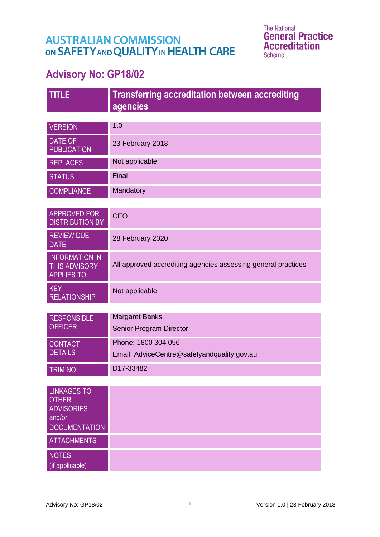# **AUSTRALIAN COMMISSION** ON SAFETY AND QUALITY IN HEALTH CARE

The National<br>**General Practice Accreditation Scheme** 

# **Advisory No: GP18/02**

| <b>TITLE</b>                                                                              | <b>Transferring accreditation between accrediting</b>         |
|-------------------------------------------------------------------------------------------|---------------------------------------------------------------|
|                                                                                           | agencies                                                      |
|                                                                                           |                                                               |
| <b>VERSION</b>                                                                            | 1.0                                                           |
| <b>DATE OF</b><br><b>PUBLICATION</b>                                                      | 23 February 2018                                              |
| <b>REPLACES</b>                                                                           | Not applicable                                                |
| <b>STATUS</b>                                                                             | Final                                                         |
| <b>COMPLIANCE</b>                                                                         | Mandatory                                                     |
| <b>APPROVED FOR</b><br><b>DISTRIBUTION BY</b>                                             | <b>CEO</b>                                                    |
| <b>REVIEW DUE</b><br><b>DATE</b>                                                          | 28 February 2020                                              |
| <b>INFORMATION IN</b><br><b>THIS ADVISORY</b><br><b>APPLIES TO:</b>                       | All approved accrediting agencies assessing general practices |
| <b>KEY</b><br><b>RELATIONSHIP</b>                                                         | Not applicable                                                |
|                                                                                           |                                                               |
| <b>RESPONSIBLE</b><br><b>OFFICER</b>                                                      | <b>Margaret Banks</b>                                         |
|                                                                                           | Senior Program Director                                       |
| <b>CONTACT</b>                                                                            | Phone: 1800 304 056                                           |
| <b>DETAILS</b>                                                                            | Email: AdviceCentre@safetyandquality.gov.au                   |
| TRIM NO.                                                                                  | D17-33482                                                     |
|                                                                                           |                                                               |
| <b>LINKAGES TO</b><br><b>OTHER</b><br><b>ADVISORIES</b><br>and/or<br><b>DOCUMENTATION</b> |                                                               |
| <b>ATTACHMENTS</b>                                                                        |                                                               |
| <b>NOTES</b><br>(if applicable)                                                           |                                                               |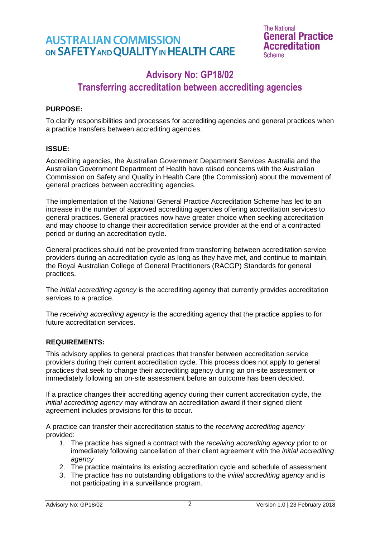### **AUSTRALIAN COMMISSION** ON SAFETY AND QUALITY IN HEALTH CARE

**The National General Practice Accreditation Scheme** 

### **Advisory No: GP18/02**

### **Transferring accreditation between accrediting agencies**

#### **PURPOSE:**

To clarify responsibilities and processes for accrediting agencies and general practices when a practice transfers between accrediting agencies.

#### **ISSUE:**

Accrediting agencies, the Australian Government Department Services Australia and the Australian Government Department of Health have raised concerns with the Australian Commission on Safety and Quality in Health Care (the Commission) about the movement of general practices between accrediting agencies.

The implementation of the National General Practice Accreditation Scheme has led to an increase in the number of approved accrediting agencies offering accreditation services to general practices. General practices now have greater choice when seeking accreditation and may choose to change their accreditation service provider at the end of a contracted period or during an accreditation cycle.

General practices should not be prevented from transferring between accreditation service providers during an accreditation cycle as long as they have met, and continue to maintain, the Royal Australian College of General Practitioners (RACGP) Standards for general practices.

The *initial accrediting agency* is the accrediting agency that currently provides accreditation services to a practice.

The *receiving accrediting agency* is the accrediting agency that the practice applies to for future accreditation services.

#### **REQUIREMENTS:**

This advisory applies to general practices that transfer between accreditation service providers during their current accreditation cycle. This process does not apply to general practices that seek to change their accrediting agency during an on-site assessment or immediately following an on-site assessment before an outcome has been decided.

If a practice changes their accrediting agency during their current accreditation cycle, the *initial accrediting agency* may withdraw an accreditation award if their signed client agreement includes provisions for this to occur.

A practice can transfer their accreditation status to the *receiving accrediting agency* provided:

- *1.* The practice has signed a contract with the *receiving accrediting agency* prior to or immediately following cancellation of their client agreement with the *initial accrediting agency*
- 2. The practice maintains its existing accreditation cycle and schedule of assessment
- 3. The practice has no outstanding obligations to the *initial accrediting agency* and is not participating in a surveillance program.